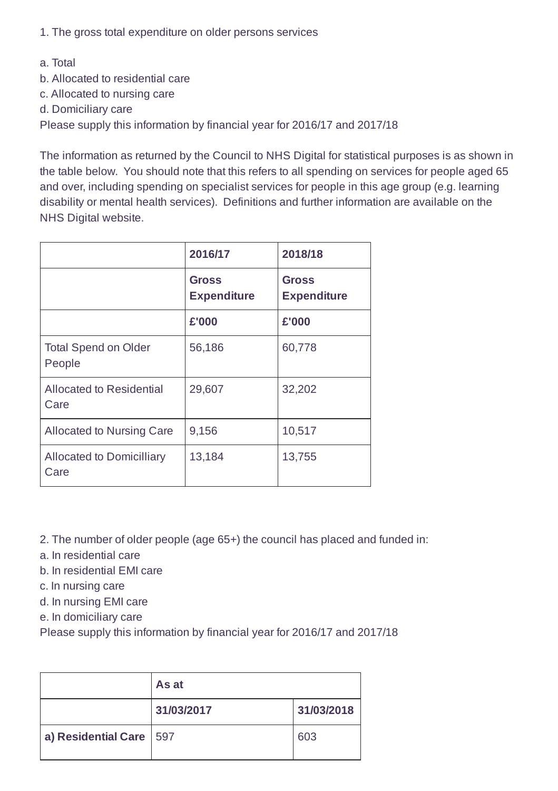1. The gross total expenditure on older persons services

- a. Total
- b. Allocated to residential care
- c. Allocated to nursing care
- d. Domiciliary care

Please supply this information by financial year for 2016/17 and 2017/18

The information as returned by the Council to NHS Digital for statistical purposes is as shown in the table below. You should note that this refers to all spending on services for people aged 65 and over, including spending on specialist services for people in this age group (e.g. learning disability or mental health services). Definitions and further information are available on the NHS Digital website.

|                                          | 2016/17                            | 2018/18                            |
|------------------------------------------|------------------------------------|------------------------------------|
|                                          | <b>Gross</b><br><b>Expenditure</b> | <b>Gross</b><br><b>Expenditure</b> |
|                                          | £'000                              | £'000                              |
| <b>Total Spend on Older</b><br>People    | 56,186                             | 60,778                             |
| <b>Allocated to Residential</b><br>Care  | 29,607                             | 32,202                             |
| <b>Allocated to Nursing Care</b>         | 9,156                              | 10,517                             |
| <b>Allocated to Domicilliary</b><br>Care | 13,184                             | 13,755                             |

- 2. The number of older people (age 65+) the council has placed and funded in:
- a. In residential care
- b. In residential EMI care
- c. In nursing care
- d. In nursing EMI care
- e. In domiciliary care

Please supply this information by financial year for 2016/17 and 2017/18

|                           | As at      |            |
|---------------------------|------------|------------|
|                           | 31/03/2017 | 31/03/2018 |
| a) Residential Care   597 |            | 603        |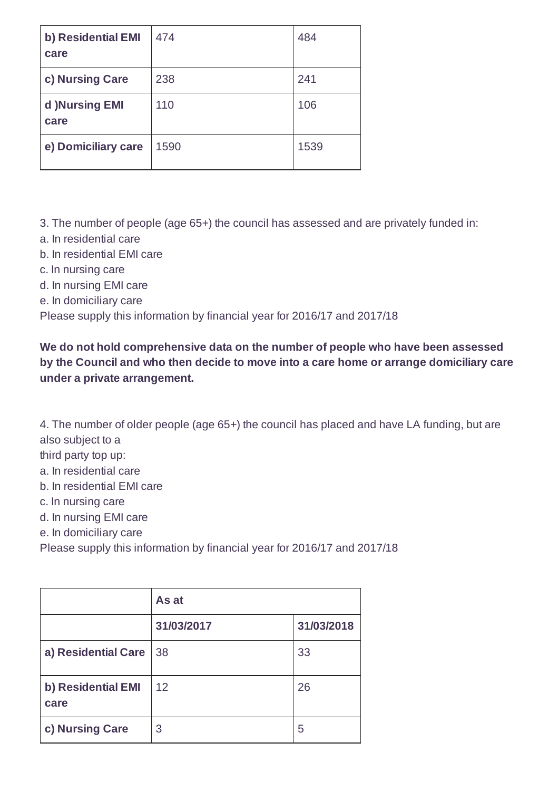| b) Residential EMI<br>care | 474  | 484  |
|----------------------------|------|------|
| c) Nursing Care            | 238  | 241  |
| d )Nursing EMI<br>care     | 110  | 106  |
| e) Domiciliary care        | 1590 | 1539 |

3. The number of people (age 65+) the council has assessed and are privately funded in:

- a. In residential care
- b. In residential EMI care
- c. In nursing care
- d. In nursing EMI care
- e. In domiciliary care

Please supply this information by financial year for 2016/17 and 2017/18

**We do not hold comprehensive data on the number of people who have been assessed by the Council and who then decide to move into a care home or arrange domiciliary care under a private arrangement.**

4. The number of older people (age 65+) the council has placed and have LA funding, but are also subject to a

- third party top up:
- a. In residential care
- b. In residential EMI care
- c. In nursing care
- d. In nursing EMI care
- e. In domiciliary care
- Please supply this information by financial year for 2016/17 and 2017/18

|                            | As at      |            |
|----------------------------|------------|------------|
|                            | 31/03/2017 | 31/03/2018 |
| a) Residential Care        | 38         | 33         |
| b) Residential EMI<br>care | 12         | 26         |
| c) Nursing Care            | 3          | 5          |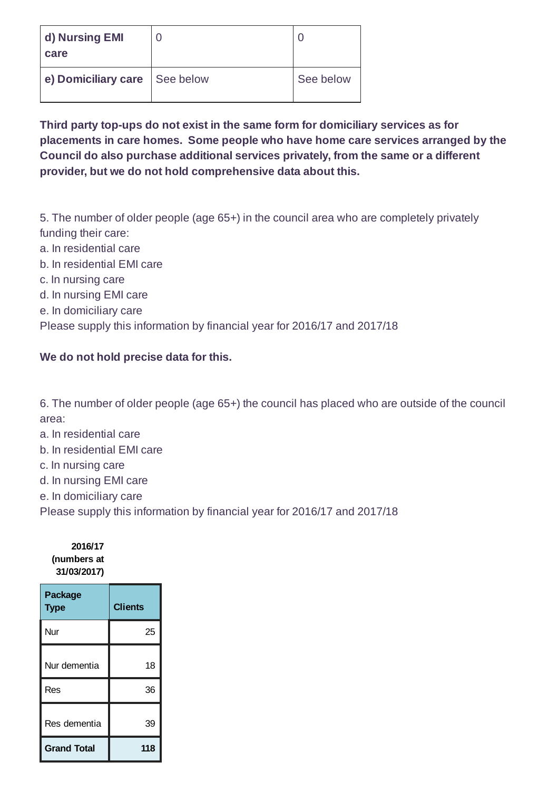| d) Nursing EMI<br>care |           |           |
|------------------------|-----------|-----------|
| e) Domiciliary care    | See below | See below |

## **Third party top-ups do not exist in the same form for domiciliary services as for placements in care homes. Some people who have home care services arranged by the Council do also purchase additional services privately, from the same or a different provider, but we do not hold comprehensive data about this.**

5. The number of older people (age 65+) in the council area who are completely privately funding their care:

- a. In residential care
- b. In residential EMI care
- c. In nursing care
- d. In nursing EMI care
- e. In domiciliary care

Please supply this information by financial year for 2016/17 and 2017/18

## **We do not hold precise data for this.**

6. The number of older people (age 65+) the council has placed who are outside of the council area:

- a. In residential care
- b. In residential EMI care
- c. In nursing care
- d. In nursing EMI care
- e. In domiciliary care

Please supply this information by financial year for 2016/17 and 2017/18

| 2016/17     |  |  |
|-------------|--|--|
| (numbers at |  |  |
| 31/03/2017) |  |  |

| <b>Package</b><br><b>Type</b> | <b>Clients</b> |
|-------------------------------|----------------|
| Nur                           | 25             |
| Nur dementia                  | 18             |
| Res                           | 36             |
| Res dementia                  | 39             |
| <b>Grand Total</b>            | 118            |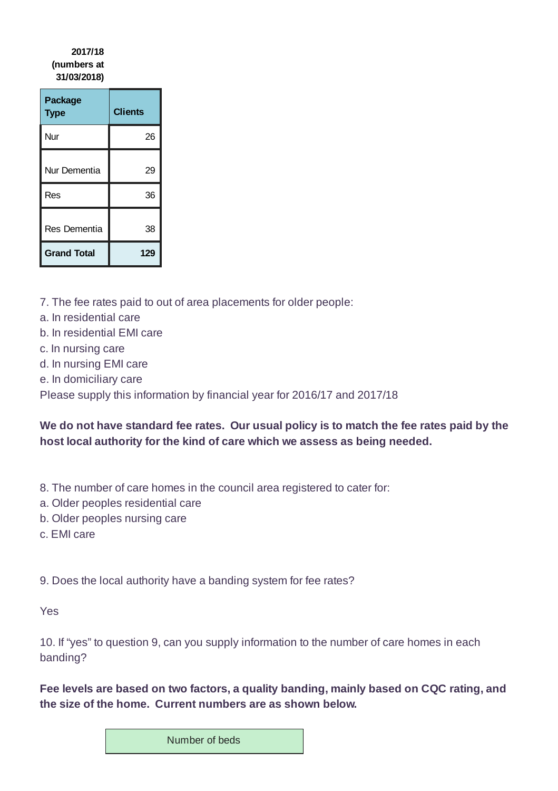## **2017/18 (numbers at 31/03/2018)**

| Package<br><b>Type</b> | <b>Clients</b> |
|------------------------|----------------|
| Nur                    | 26             |
| Nur Dementia           | 29             |
| Res                    | 36             |
| Res Dementia           | 38             |
| <b>Grand Total</b>     | 129            |

- 7. The fee rates paid to out of area placements for older people:
- a. In residential care
- b. In residential EMI care
- c. In nursing care
- d. In nursing EMI care
- e. In domiciliary care

Please supply this information by financial year for 2016/17 and 2017/18

## **We do not have standard fee rates. Our usual policy is to match the fee rates paid by the host local authority for the kind of care which we assess as being needed.**

- 8. The number of care homes in the council area registered to cater for:
- a. Older peoples residential care
- b. Older peoples nursing care
- c. EMI care

9. Does the local authority have a banding system for fee rates?

Yes

10. If "yes" to question 9, can you supply information to the number of care homes in each banding?

**Fee levels are based on two factors, a quality banding, mainly based on CQC rating, and the size of the home. Current numbers are as shown below.**

Number of beds